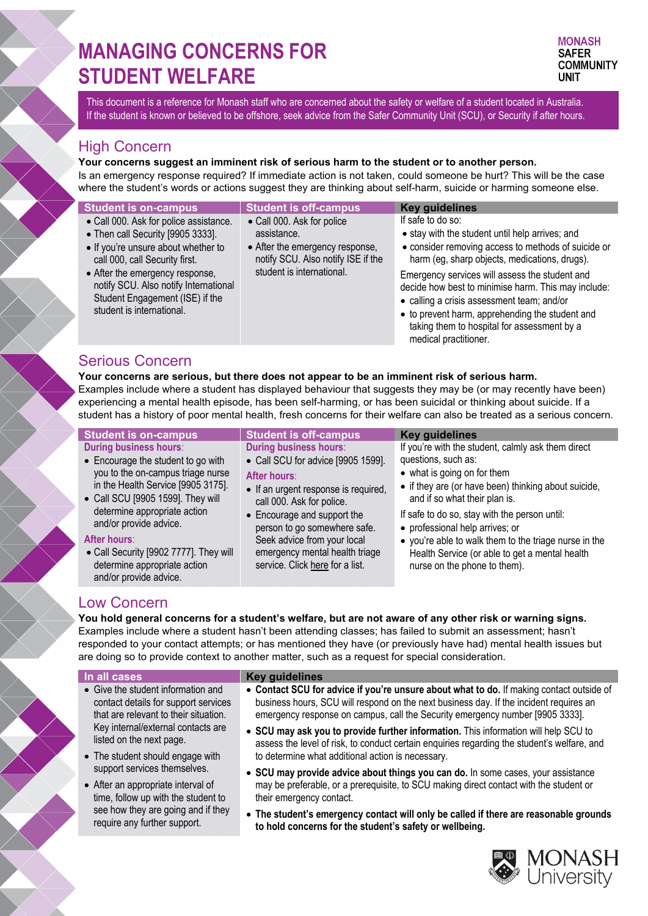# **MANAGING CONCERNS FOR STUDENT WELFARE**

This document is a reference for Monash staff who are concerned about the safety or welfare of a student located in Australia. If the student is known or believed to be offshore, seek advice from the Safer Community Unit (SCU), or Security if after hours.

## High Concern

**Your concerns suggest an imminent risk of serious harm to the student or to another person.**

Is an emergency response required? If immediate action is not taken, could someone be hurt? This will be the case where the student's words or actions suggest they are thinking about self-harm, suicide or harming someone else.

| <b>Student is on-campus</b>                                                                                                                                                                                                                                                                      | <b>Student is off-campus</b>                                                                                                                    | <b>Key guidelines</b>                                                                                                                                                                                                                                                                                                                                                                                                                                          |
|--------------------------------------------------------------------------------------------------------------------------------------------------------------------------------------------------------------------------------------------------------------------------------------------------|-------------------------------------------------------------------------------------------------------------------------------------------------|----------------------------------------------------------------------------------------------------------------------------------------------------------------------------------------------------------------------------------------------------------------------------------------------------------------------------------------------------------------------------------------------------------------------------------------------------------------|
| • Call 000. Ask for police assistance.<br>• Then call Security [9905 3333].<br>• If you're unsure about whether to<br>call 000, call Security first.<br>• After the emergency response,<br>notify SCU. Also notify International<br>Student Engagement (ISE) if the<br>student is international. | • Call 000. Ask for police<br>assistance.<br>• After the emergency response,<br>notify SCU. Also notify ISE if the<br>student is international. | If safe to do so:<br>• stay with the student until help arrives; and<br>• consider removing access to methods of suicide or<br>harm (eg, sharp objects, medications, drugs).<br>Emergency services will assess the student and<br>decide how best to minimise harm. This may include:<br>• calling a crisis assessment team; and/or<br>• to prevent harm, apprehending the student and<br>taking them to hospital for assessment by a<br>medical practitioner. |

# Serious Concern

**Your concerns are serious, but there does not appear to be an imminent risk of serious harm.** Examples include where a student has displayed behaviour that suggests they may be (or may recently have been)

experiencing a mental health episode, has been self-harming, or has been suicidal or thinking about suicide. If a student has a history of poor mental health, fresh concerns for their welfare can also be treated as a serious concern.

| <u> Student is on-</u> campus                                                                                    | <b>Student is off-campus</b>                                                                     | <b>Key guidelines</b>                                                                                                                   |
|------------------------------------------------------------------------------------------------------------------|--------------------------------------------------------------------------------------------------|-----------------------------------------------------------------------------------------------------------------------------------------|
| <b>During business hours:</b>                                                                                    | <b>During business hours:</b>                                                                    | If you're with the student, calmly ask them direct                                                                                      |
| • Encourage the student to go with                                                                               | • Call SCU for advice [9905 1599].                                                               | questions, such as:                                                                                                                     |
| you to the on-campus triage nurse                                                                                | After hours:                                                                                     | • what is going on for them                                                                                                             |
| in the Health Service [9905 3175].<br>• Call SCU [9905 1599]. They will                                          | • If an urgent response is required,<br>call 000. Ask for police.                                | • if they are (or have been) thinking about suicide,<br>and if so what their plan is.                                                   |
| determine appropriate action<br>and/or provide advice.                                                           | • Encourage and support the<br>person to go somewhere safe.                                      | If safe to do so, stay with the person until:<br>• professional help arrives; or                                                        |
| After hours:<br>• Call Security [9902 7777]. They will<br>determine appropriate action<br>and/or provide advice. | Seek advice from your local<br>emergency mental health triage<br>service. Click here for a list. | • you're able to walk them to the triage nurse in the<br>Health Service (or able to get a mental health<br>nurse on the phone to them). |

# Low Concern

**You hold general concerns for a student's welfare, but are not aware of any other risk or warning signs.** Examples include where a student hasn't been attending classes; has failed to submit an assessment; hasn't responded to your contact attempts; or has mentioned they have (or previously have had) mental health issues but are doing so to provide context to another matter, such as a request for special consideration.

- Give the student information and contact details for support services that are relevant to their situation. Key internal/external contacts are listed on the next page.
- The student should engage with support services themselves.
- After an appropriate interval of time, follow up with the student to see how they are going and if they require any further support.

### **In all cases Key guidelines**

- **Contact SCU for advice if you're unsure about what to do.** If making contact outside of business hours, SCU will respond on the next business day. If the incident requires an emergency response on campus, call the Security emergency number [9905 3333].
- **SCU may ask you to provide further information.** This information will help SCU to assess the level of risk, to conduct certain enquiries regarding the student's welfare, and to determine what additional action is necessary.
- **SCU may provide advice about things you can do.** In some cases, your assistance may be preferable, or a prerequisite, to SCU making direct contact with the student or their emergency contact.
- **The student's emergency contact will only be called if there are reasonable grounds to hold concerns for the student's safety or wellbeing.**